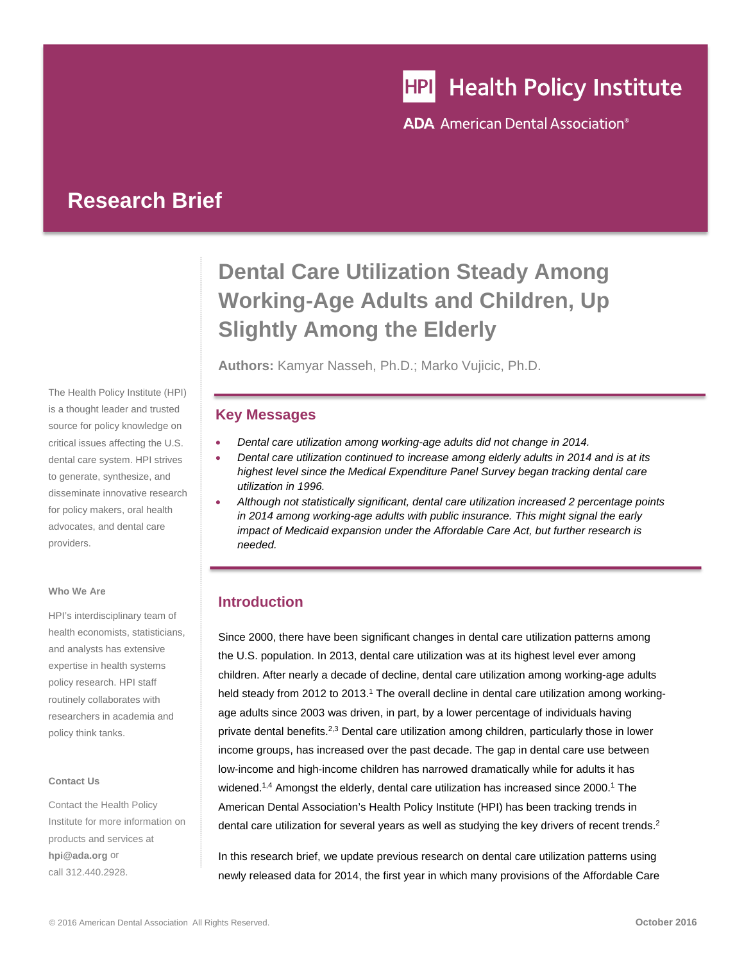# **HPI** Health Policy Institute

**ADA** American Dental Association<sup>®</sup>

## **Research Brief**

The Health Policy Institute (HPI) is a thought leader and trusted source for policy knowledge on critical issues affecting the U.S. dental care system. HPI strives to generate, synthesize, and disseminate innovative research for policy makers, oral health advocates, and dental care providers.

#### **Who We Are**

HPI's interdisciplinary team of health economists, statisticians, and analysts has extensive expertise in health systems policy research. HPI staff routinely collaborates with researchers in academia and policy think tanks.

#### **Contact Us**

Contact the Health Policy Institute for more information on products and services at **hpi@ada.org** or call 312.440.2928.

## **Dental Care Utilization Steady Among Working-Age Adults and Children, Up Slightly Among the Elderly**

**Authors:** Kamyar Nasseh, Ph.D.; Marko Vujicic, Ph.D.

## **Key Messages**

- *Dental care utilization among working-age adults did not change in 2014.*
- *Dental care utilization continued to increase among elderly adults in 2014 and is at its highest level since the Medical Expenditure Panel Survey began tracking dental care utilization in 1996.*
- *Although not statistically significant, dental care utilization increased 2 percentage points in 2014 among working-age adults with public insurance. This might signal the early impact of Medicaid expansion under the Affordable Care Act, but further research is needed.*

## **Introduction**

Since 2000, there have been significant changes in dental care utilization patterns among the U.S. population. In 2013, dental care utilization was at its highest level ever among children. After nearly a decade of decline, dental care utilization among working-age adults held steady from 2012 to 2013.<sup>1</sup> The overall decline in dental care utilization among workingage adults since 2003 was driven, in part, by a lower percentage of individuals having private dental benefits.2,3 Dental care utilization among children, particularly those in lower income groups, has increased over the past decade. The gap in dental care use between low-income and high-income children has narrowed dramatically while for adults it has widened.<sup>1,4</sup> Amongst the elderly, dental care utilization has increased since 2000.<sup>1</sup> The American Dental Association's Health Policy Institute (HPI) has been tracking trends in dental care utilization for several years as well as studying the key drivers of recent trends.<sup>2</sup>

In this research brief, we update previous research on dental care utilization patterns using newly released data for 2014, the first year in which many provisions of the Affordable Care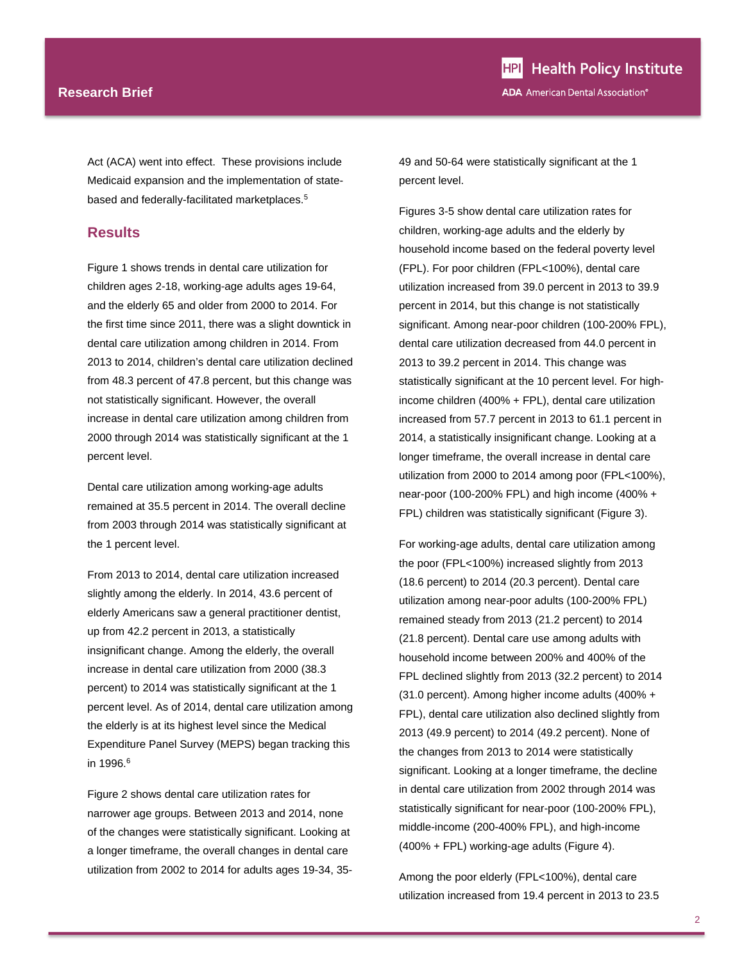#### **Research Brief**

Act (ACA) went into effect. These provisions include Medicaid expansion and the implementation of statebased and federally-facilitated marketplaces.5

### **Results**

Figure 1 shows trends in dental care utilization for children ages 2-18, working-age adults ages 19-64, and the elderly 65 and older from 2000 to 2014. For the first time since 2011, there was a slight downtick in dental care utilization among children in 2014. From 2013 to 2014, children's dental care utilization declined from 48.3 percent of 47.8 percent, but this change was not statistically significant. However, the overall increase in dental care utilization among children from 2000 through 2014 was statistically significant at the 1 percent level.

Dental care utilization among working-age adults remained at 35.5 percent in 2014. The overall decline from 2003 through 2014 was statistically significant at the 1 percent level.

From 2013 to 2014, dental care utilization increased slightly among the elderly. In 2014, 43.6 percent of elderly Americans saw a general practitioner dentist, up from 42.2 percent in 2013, a statistically insignificant change. Among the elderly, the overall increase in dental care utilization from 2000 (38.3 percent) to 2014 was statistically significant at the 1 percent level. As of 2014, dental care utilization among the elderly is at its highest level since the Medical Expenditure Panel Survey (MEPS) began tracking this in 1996.6

Figure 2 shows dental care utilization rates for narrower age groups. Between 2013 and 2014, none of the changes were statistically significant. Looking at a longer timeframe, the overall changes in dental care utilization from 2002 to 2014 for adults ages 19-34, 3549 and 50-64 were statistically significant at the 1 percent level.

Figures 3-5 show dental care utilization rates for children, working-age adults and the elderly by household income based on the federal poverty level (FPL). For poor children (FPL<100%), dental care utilization increased from 39.0 percent in 2013 to 39.9 percent in 2014, but this change is not statistically significant. Among near-poor children (100-200% FPL), dental care utilization decreased from 44.0 percent in 2013 to 39.2 percent in 2014. This change was statistically significant at the 10 percent level. For highincome children (400% + FPL), dental care utilization increased from 57.7 percent in 2013 to 61.1 percent in 2014, a statistically insignificant change. Looking at a longer timeframe, the overall increase in dental care utilization from 2000 to 2014 among poor (FPL<100%), near-poor (100-200% FPL) and high income (400% + FPL) children was statistically significant (Figure 3).

For working-age adults, dental care utilization among the poor (FPL<100%) increased slightly from 2013 (18.6 percent) to 2014 (20.3 percent). Dental care utilization among near-poor adults (100-200% FPL) remained steady from 2013 (21.2 percent) to 2014 (21.8 percent). Dental care use among adults with household income between 200% and 400% of the FPL declined slightly from 2013 (32.2 percent) to 2014 (31.0 percent). Among higher income adults (400% + FPL), dental care utilization also declined slightly from 2013 (49.9 percent) to 2014 (49.2 percent). None of the changes from 2013 to 2014 were statistically significant. Looking at a longer timeframe, the decline in dental care utilization from 2002 through 2014 was statistically significant for near-poor (100-200% FPL), middle-income (200-400% FPL), and high-income (400% + FPL) working-age adults (Figure 4).

Among the poor elderly (FPL<100%), dental care utilization increased from 19.4 percent in 2013 to 23.5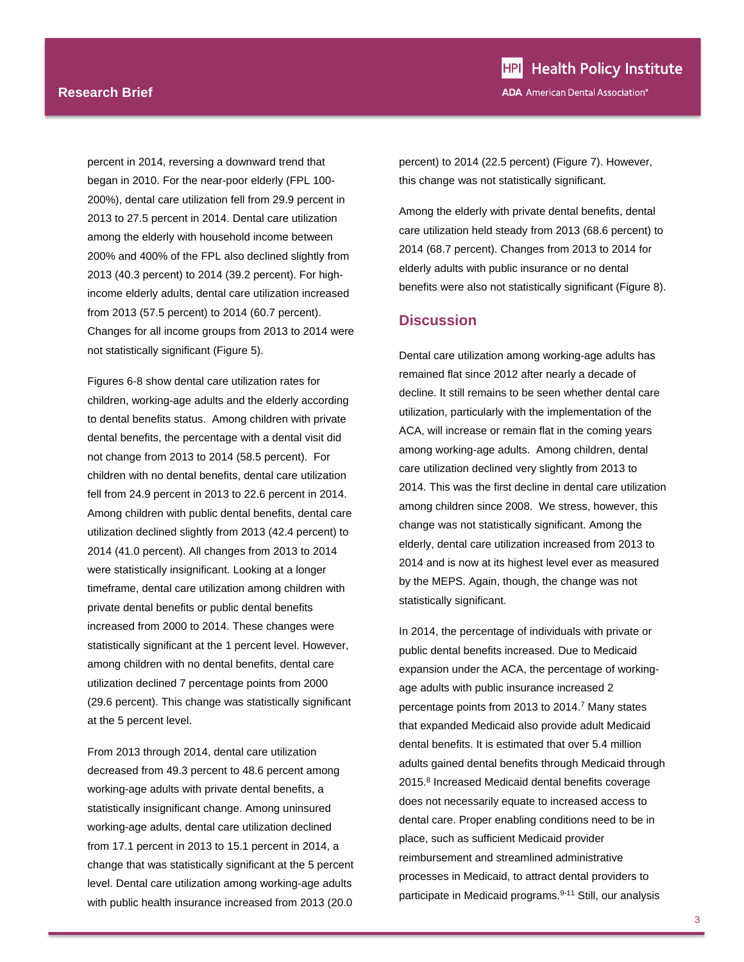percent in 2014, reversing a downward trend that began in 2010. For the near-poor elderly (FPL 100- 200%), dental care utilization fell from 29.9 percent in 2013 to 27.5 percent in 2014. Dental care utilization among the elderly with household income between 200% and 400% of the FPL also declined slightly from 2013 (40.3 percent) to 2014 (39.2 percent). For highincome elderly adults, dental care utilization increased from 2013 (57.5 percent) to 2014 (60.7 percent). Changes for all income groups from 2013 to 2014 were not statistically significant (Figure 5).

Figures 6-8 show dental care utilization rates for children, working-age adults and the elderly according to dental benefits status. Among children with private dental benefits, the percentage with a dental visit did not change from 2013 to 2014 (58.5 percent). For children with no dental benefits, dental care utilization fell from 24.9 percent in 2013 to 22.6 percent in 2014. Among children with public dental benefits, dental care utilization declined slightly from 2013 (42.4 percent) to 2014 (41.0 percent). All changes from 2013 to 2014 were statistically insignificant. Looking at a longer timeframe, dental care utilization among children with private dental benefits or public dental benefits increased from 2000 to 2014. These changes were statistically significant at the 1 percent level. However, among children with no dental benefits, dental care utilization declined 7 percentage points from 2000 (29.6 percent). This change was statistically significant at the 5 percent level.

From 2013 through 2014, dental care utilization decreased from 49.3 percent to 48.6 percent among working-age adults with private dental benefits, a statistically insignificant change. Among uninsured working-age adults, dental care utilization declined from 17.1 percent in 2013 to 15.1 percent in 2014, a change that was statistically significant at the 5 percent level. Dental care utilization among working-age adults with public health insurance increased from 2013 (20.0

percent) to 2014 (22.5 percent) (Figure 7). However, this change was not statistically significant.

Among the elderly with private dental benefits, dental care utilization held steady from 2013 (68.6 percent) to 2014 (68.7 percent). Changes from 2013 to 2014 for elderly adults with public insurance or no dental benefits were also not statistically significant (Figure 8).

#### **Discussion**

Dental care utilization among working-age adults has remained flat since 2012 after nearly a decade of decline. It still remains to be seen whether dental care utilization, particularly with the implementation of the ACA, will increase or remain flat in the coming years among working-age adults. Among children, dental care utilization declined very slightly from 2013 to 2014. This was the first decline in dental care utilization among children since 2008. We stress, however, this change was not statistically significant. Among the elderly, dental care utilization increased from 2013 to 2014 and is now at its highest level ever as measured by the MEPS. Again, though, the change was not statistically significant.

In 2014, the percentage of individuals with private or public dental benefits increased. Due to Medicaid expansion under the ACA, the percentage of workingage adults with public insurance increased 2 percentage points from 2013 to 2014.<sup>7</sup> Many states that expanded Medicaid also provide adult Medicaid dental benefits. It is estimated that over 5.4 million adults gained dental benefits through Medicaid through 2015.<sup>8</sup> Increased Medicaid dental benefits coverage does not necessarily equate to increased access to dental care. Proper enabling conditions need to be in place, such as sufficient Medicaid provider reimbursement and streamlined administrative processes in Medicaid, to attract dental providers to participate in Medicaid programs.<sup>9-11</sup> Still, our analysis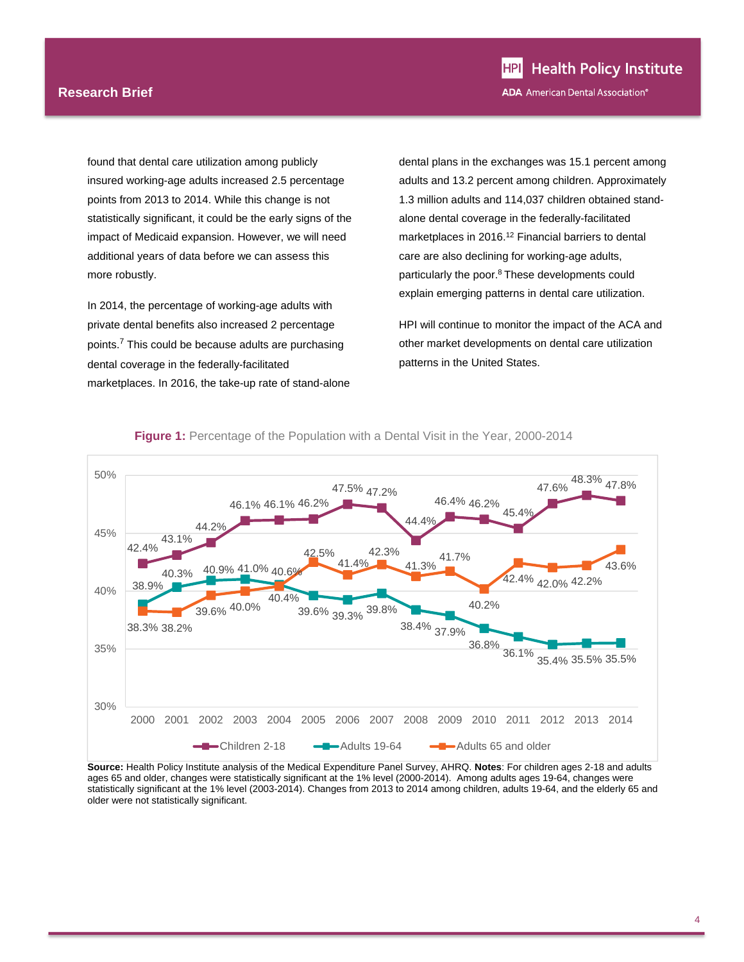#### **Research Brief**

found that dental care utilization among publicly insured working-age adults increased 2.5 percentage points from 2013 to 2014. While this change is not statistically significant, it could be the early signs of the impact of Medicaid expansion. However, we will need additional years of data before we can assess this more robustly.

In 2014, the percentage of working-age adults with private dental benefits also increased 2 percentage points.7 This could be because adults are purchasing dental coverage in the federally-facilitated marketplaces. In 2016, the take-up rate of stand-alone dental plans in the exchanges was 15.1 percent among adults and 13.2 percent among children. Approximately 1.3 million adults and 114,037 children obtained standalone dental coverage in the federally-facilitated marketplaces in 2016.<sup>12</sup> Financial barriers to dental care are also declining for working-age adults, particularly the poor.<sup>8</sup> These developments could explain emerging patterns in dental care utilization.

HPI will continue to monitor the impact of the ACA and other market developments on dental care utilization patterns in the United States.



#### **Figure 1:** Percentage of the Population with a Dental Visit in the Year, 2000-2014

**Source:** Health Policy Institute analysis of the Medical Expenditure Panel Survey, AHRQ. **Notes**: For children ages 2-18 and adults ages 65 and older, changes were statistically significant at the 1% level (2000-2014). Among adults ages 19-64, changes were statistically significant at the 1% level (2003-2014). Changes from 2013 to 2014 among children, adults 19-64, and the elderly 65 and older were not statistically significant.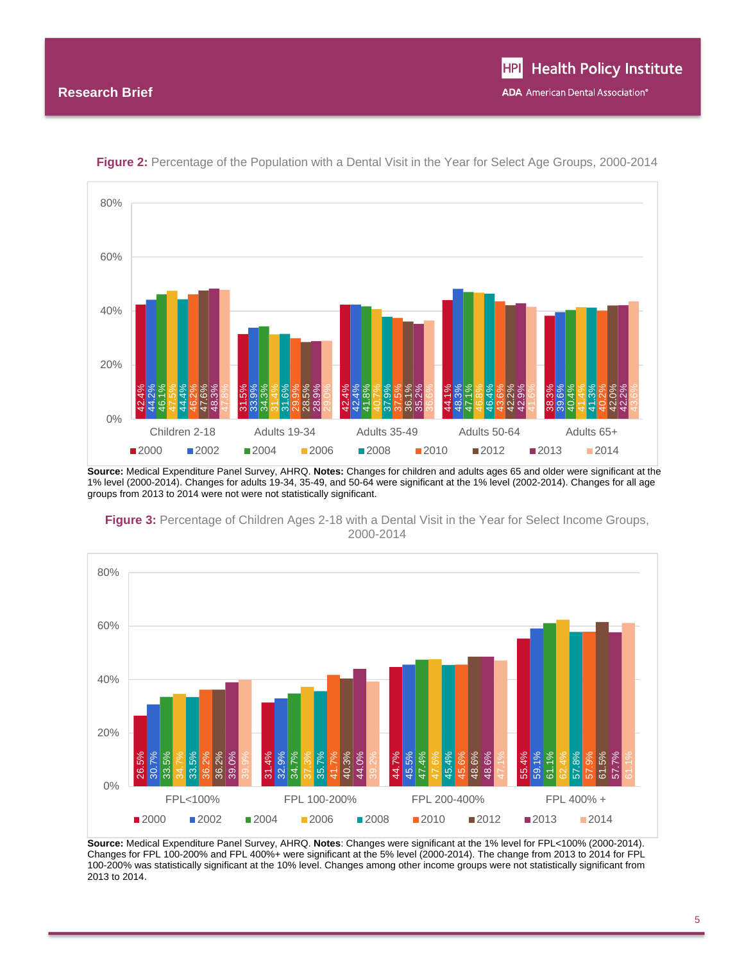

**Figure 2:** Percentage of the Population with a Dental Visit in the Year for Select Age Groups, 2000-2014

**Source:** Medical Expenditure Panel Survey, AHRQ. **Notes:** Changes for children and adults ages 65 and older were significant at the 1% level (2000-2014). Changes for adults 19-34, 35-49, and 50-64 were significant at the 1% level (2002-2014). Changes for all age groups from 2013 to 2014 were not were not statistically significant.



**Figure 3:** Percentage of Children Ages 2-18 with a Dental Visit in the Year for Select Income Groups, 2000-2014

**Source:** Medical Expenditure Panel Survey, AHRQ. **Notes**: Changes were significant at the 1% level for FPL<100% (2000-2014). Changes for FPL 100-200% and FPL 400%+ were significant at the 5% level (2000-2014). The change from 2013 to 2014 for FPL 100-200% was statistically significant at the 10% level. Changes among other income groups were not statistically significant from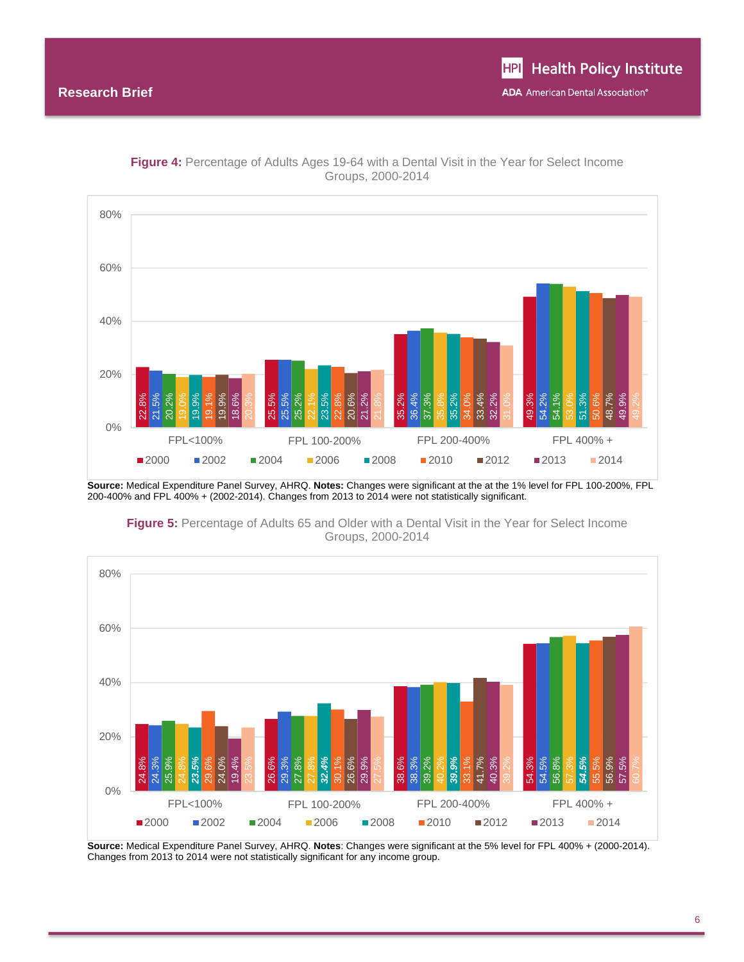

**Figure 4:** Percentage of Adults Ages 19-64 with a Dental Visit in the Year for Select Income Groups, 2000-2014

**Source:** Medical Expenditure Panel Survey, AHRQ. **Notes:** Changes were significant at the at the 1% level for FPL 100-200%, FPL 200-400% and FPL 400% + (2002-2014). Changes from 2013 to 2014 were not statistically significant.



**Figure 5:** Percentage of Adults 65 and Older with a Dental Visit in the Year for Select Income Groups, 2000-2014

**Source:** Medical Expenditure Panel Survey, AHRQ. **Notes**: Changes were significant at the 5% level for FPL 400% + (2000-2014).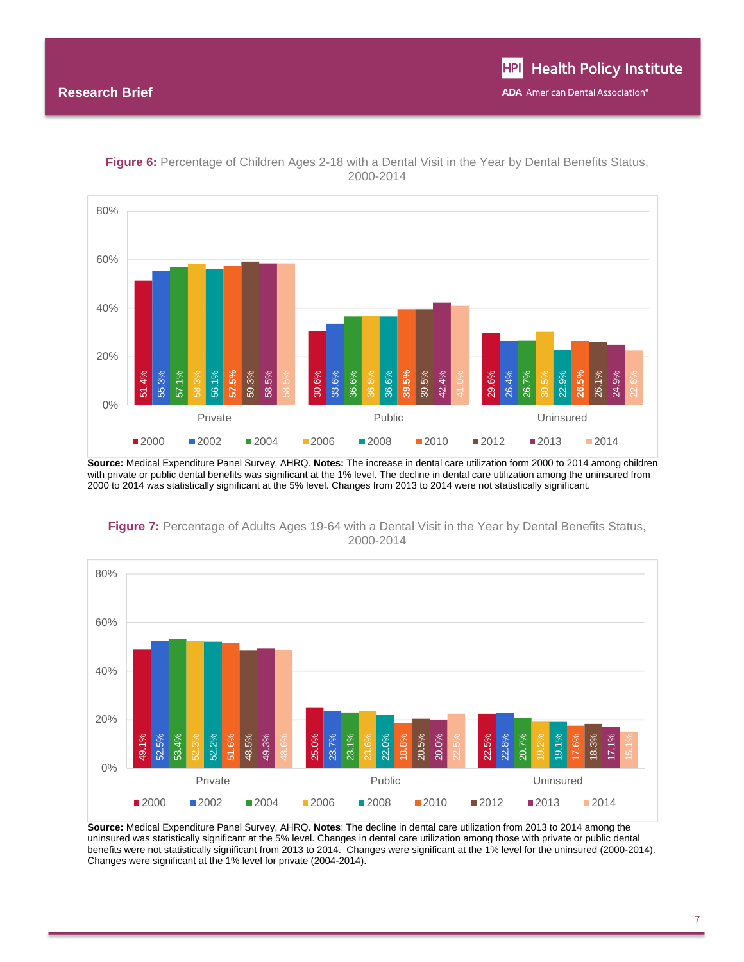

**Figure 6:** Percentage of Children Ages 2-18 with a Dental Visit in the Year by Dental Benefits Status, 2000-2014

**Source:** Medical Expenditure Panel Survey, AHRQ. **Notes:** The increase in dental care utilization form 2000 to 2014 among children with private or public dental benefits was significant at the 1% level. The decline in dental care utilization among the uninsured from 2000 to 2014 was statistically significant at the 5% level. Changes from 2013 to 2014 were not statistically significant.



**Figure 7:** Percentage of Adults Ages 19-64 with a Dental Visit in the Year by Dental Benefits Status, 2000-2014

**Source:** Medical Expenditure Panel Survey, AHRQ. **Notes**: The decline in dental care utilization from 2013 to 2014 among the uninsured was statistically significant at the 5% level. Changes in dental care utilization among those with private or public dental benefits were not statistically significant from 2013 to 2014. Changes were significant at the 1% level for the uninsured (2000-2014). Changes were significant at the 1% level for private (2004-2014).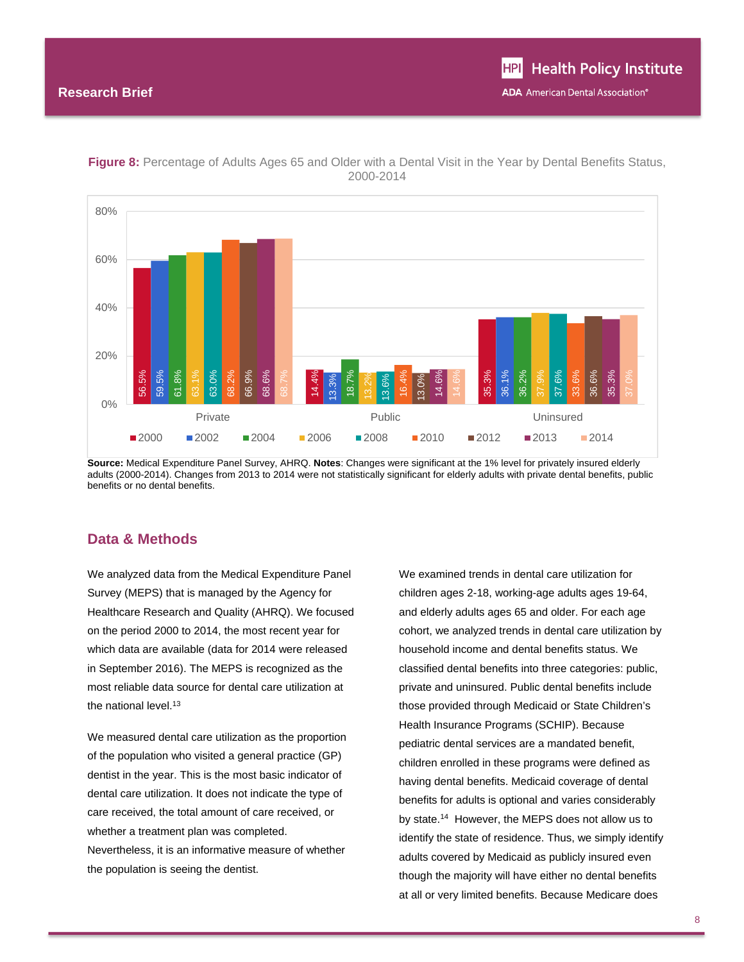

**Figure 8:** Percentage of Adults Ages 65 and Older with a Dental Visit in the Year by Dental Benefits Status, 2000-2014

**Source:** Medical Expenditure Panel Survey, AHRQ. **Notes**: Changes were significant at the 1% level for privately insured elderly adults (2000-2014). Changes from 2013 to 2014 were not statistically significant for elderly adults with private dental benefits, public benefits or no dental benefits.

### **Data & Methods**

We analyzed data from the Medical Expenditure Panel Survey (MEPS) that is managed by the Agency for Healthcare Research and Quality (AHRQ). We focused on the period 2000 to 2014, the most recent year for which data are available (data for 2014 were released in September 2016). The MEPS is recognized as the most reliable data source for dental care utilization at the national level.<sup>13</sup>

We measured dental care utilization as the proportion of the population who visited a general practice (GP) dentist in the year. This is the most basic indicator of dental care utilization. It does not indicate the type of care received, the total amount of care received, or whether a treatment plan was completed. Nevertheless, it is an informative measure of whether the population is seeing the dentist.

We examined trends in dental care utilization for children ages 2-18, working-age adults ages 19-64, and elderly adults ages 65 and older. For each age cohort, we analyzed trends in dental care utilization by household income and dental benefits status. We classified dental benefits into three categories: public, private and uninsured. Public dental benefits include those provided through Medicaid or State Children's Health Insurance Programs (SCHIP). Because pediatric dental services are a mandated benefit, children enrolled in these programs were defined as having dental benefits. Medicaid coverage of dental benefits for adults is optional and varies considerably by state.<sup>14</sup> However, the MEPS does not allow us to identify the state of residence. Thus, we simply identify adults covered by Medicaid as publicly insured even though the majority will have either no dental benefits at all or very limited benefits. Because Medicare does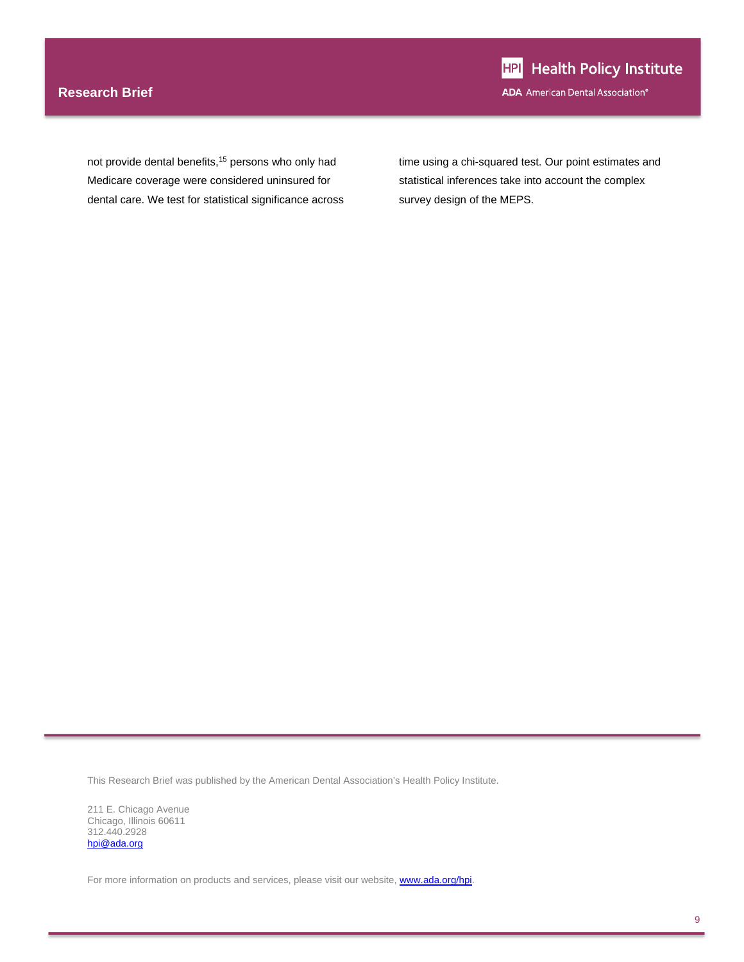### **Research Brief**

not provide dental benefits,<sup>15</sup> persons who only had Medicare coverage were considered uninsured for dental care. We test for statistical significance across time using a chi-squared test. Our point estimates and statistical inferences take into account the complex survey design of the MEPS.

This Research Brief was published by the American Dental Association's Health Policy Institute.

211 E. Chicago Avenue Chicago, Illinois 60611 312.440.2928 hpi@ada.org

For more information on products and services, please visit our website, www.ada.org/hpi.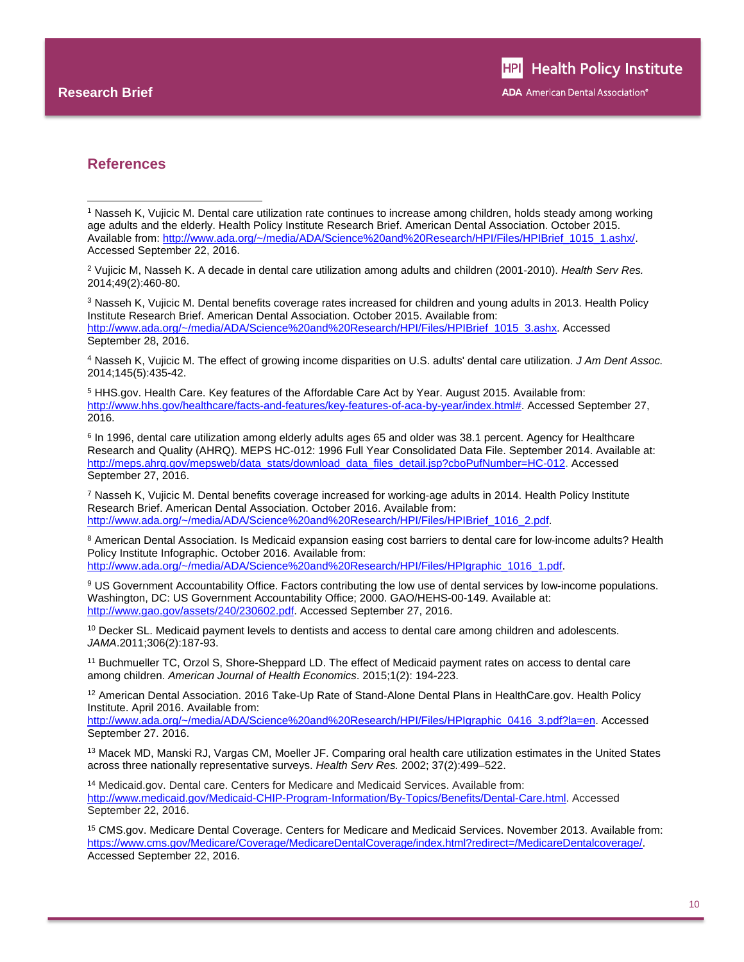l

### **References**

2 Vujicic M, Nasseh K. A decade in dental care utilization among adults and children (2001-2010). *Health Serv Res.* 2014;49(2):460-80.

3 Nasseh K, Vujicic M. Dental benefits coverage rates increased for children and young adults in 2013. Health Policy Institute Research Brief. American Dental Association. October 2015. Available from: http://www.ada.org/~/media/ADA/Science%20and%20Research/HPI/Files/HPIBrief\_1015\_3.ashx. Accessed September 28, 2016.

4 Nasseh K, Vujicic M. The effect of growing income disparities on U.S. adults' dental care utilization. *J Am Dent Assoc.* 2014;145(5):435-42.

5 HHS.gov. Health Care. Key features of the Affordable Care Act by Year. August 2015. Available from: http://www.hhs.gov/healthcare/facts-and-features/key-features-of-aca-by-year/index.html#. Accessed September 27, 2016.

6 In 1996, dental care utilization among elderly adults ages 65 and older was 38.1 percent. Agency for Healthcare Research and Quality (AHRQ). MEPS HC-012: 1996 Full Year Consolidated Data File. September 2014. Available at: http://meps.ahrq.gov/mepsweb/data\_stats/download\_data\_files\_detail.jsp?cboPufNumber=HC-012. Accessed September 27, 2016.

7 Nasseh K, Vujicic M. Dental benefits coverage increased for working-age adults in 2014. Health Policy Institute Research Brief. American Dental Association. October 2016. Available from: http://www.ada.org/~/media/ADA/Science%20and%20Research/HPI/Files/HPIBrief\_1016\_2.pdf.

8 American Dental Association. Is Medicaid expansion easing cost barriers to dental care for low-income adults? Health Policy Institute Infographic. October 2016. Available from: http://www.ada.org/~/media/ADA/Science%20and%20Research/HPI/Files/HPIgraphic\_1016\_1.pdf.

9 US Government Accountability Office. Factors contributing the low use of dental services by low-income populations. Washington, DC: US Government Accountability Office; 2000. GAO/HEHS-00-149. Available at: http://www.gao.gov/assets/240/230602.pdf. Accessed September 27, 2016.

<sup>10</sup> Decker SL. Medicaid payment levels to dentists and access to dental care among children and adolescents. *JAMA*.2011;306(2):187-93.

11 Buchmueller TC, Orzol S, Shore-Sheppard LD. The effect of Medicaid payment rates on access to dental care among children. *American Journal of Health Economics*. 2015;1(2): 194-223.

<sup>12</sup> American Dental Association. 2016 Take-Up Rate of Stand-Alone Dental Plans in HealthCare.gov. Health Policy Institute. April 2016. Available from:

http://www.ada.org/~/media/ADA/Science%20and%20Research/HPI/Files/HPIgraphic\_0416\_3.pdf?la=en. Accessed September 27. 2016.

13 Macek MD, Manski RJ, Vargas CM, Moeller JF. Comparing oral health care utilization estimates in the United States across three nationally representative surveys. *Health Serv Res.* 2002; 37(2):499–522.

<sup>14</sup> Medicaid.gov. Dental care. Centers for Medicare and Medicaid Services. Available from: http://www.medicaid.gov/Medicaid-CHIP-Program-Information/By-Topics/Benefits/Dental-Care.html. Accessed September 22, 2016.

15 CMS.gov. Medicare Dental Coverage. Centers for Medicare and Medicaid Services. November 2013. Available from: https://www.cms.gov/Medicare/Coverage/MedicareDentalCoverage/index.html?redirect=/MedicareDentalcoverage/. Accessed September 22, 2016.

<sup>1</sup> Nasseh K, Vujicic M. Dental care utilization rate continues to increase among children, holds steady among working age adults and the elderly. Health Policy Institute Research Brief. American Dental Association. October 2015. Available from: http://www.ada.org/~/media/ADA/Science%20and%20Research/HPI/Files/HPIBrief\_1015\_1.ashx/. Accessed September 22, 2016.